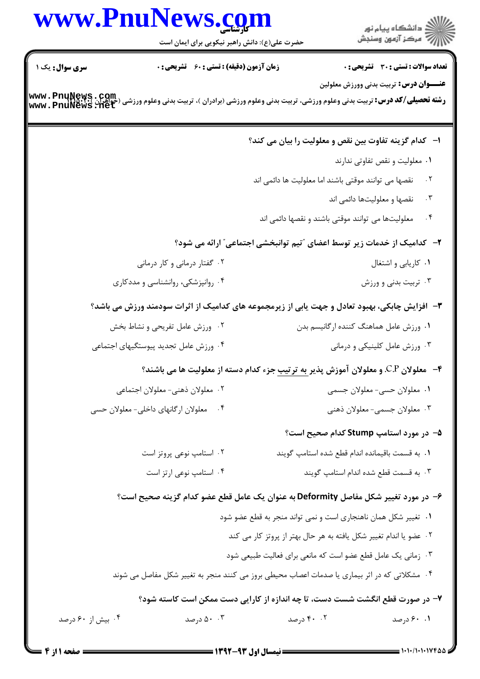|                        | www.PnuNews.com<br>حضرت علی(ع): دانش راهبر نیکویی برای ایمان است                                                                      |                                                                    | ر<br>دانشڪاه پيام نور)<br>اڳ مرڪز آزمون وسنڊش                           |
|------------------------|---------------------------------------------------------------------------------------------------------------------------------------|--------------------------------------------------------------------|-------------------------------------------------------------------------|
| <b>سری سوال :</b> یک ۱ | <b>زمان آزمون (دقیقه) : تستی : 60 ٪ تشریحی : 0</b>                                                                                    |                                                                    | <b>تعداد سوالات : تستی : 30 ٪ تشریحی : 0</b>                            |
|                        | رشته تحصیلی/کد درس: تربیت بدنی وعلوم ورزشی، تربیت بدنی وعلوم ورزشی (برادران )، تربیت بدنی وعلوم ورزشی (حواهران<br>www . PnuNews . Het |                                                                    | <b>عنـــوان درس:</b> تربیت بدنی وورزش معلولین                           |
|                        |                                                                                                                                       |                                                                    | ا- کدام گزینه تفاوت بین نقص و معلولیت را بیان می کند؟                   |
|                        |                                                                                                                                       |                                                                    | ٠١ معلوليت و نقص تفاوتي ندارند                                          |
|                        |                                                                                                                                       | نقصها می توانند موقتی باشند اما معلولیت ها دائمی اند               | $\cdot$ ٢                                                               |
|                        |                                                                                                                                       |                                                                    | نقصها و معلولیتها دائمی اند<br>$\cdot$ $\mathsf{r}$                     |
|                        |                                                                                                                                       | معلولیتها می توانند موقتی باشند و نقصها دائمی اند                  | $\cdot$ ۴                                                               |
|                        |                                                                                                                                       |                                                                    | ۲-۔ کدامیک از خدمات زیر توسط اعضای "تیم توانبخشی اجتماعی" ارائه می شود؟ |
|                        | ۰۲ گفتار درمانی و کار درمانی                                                                                                          |                                                                    | ۰۱ کاریابی و اشتغال                                                     |
|                        | ۰۴ روانپزشکی، روانشناسی و مددکاری                                                                                                     |                                                                    | ۰۳ تربیت بدنی و ورزش                                                    |
|                        | ۳- افزایش چابکی، بهبود تعادل و جهت یابی از زیرمجموعه های کدامیک از اثرات سودمند ورزش می باشد؟                                         |                                                                    |                                                                         |
|                        | ۰۲ ورزش عامل تفریحی و نشاط بخش                                                                                                        |                                                                    | ۰۱ ورزش عامل هماهنگ كننده ارگانيسم بدن                                  |
|                        | ۰۴ ورزش عامل تجدید پیوستگیهای اجتماعی                                                                                                 |                                                                    | ۰۳ ورزش عامل کلینیکی و درمانی                                           |
|                        | ۴- معلولان C.P. و معلولان آموزش پذیر <u>به ترتیب</u> جزء کدام دسته از معلولیت ها می باشند؟                                            |                                                                    |                                                                         |
|                        | ۰۲ معلولان ذهني- معلولان اجتماعي                                                                                                      |                                                                    | ۰۱ معلولان حسي- معلولان جسمي                                            |
|                        | معلولان ارگانهای داخلی- معلولان حسی                                                                                                   |                                                                    | ۰۳ معلولان جسمي- معلولان ذهني                                           |
|                        |                                                                                                                                       |                                                                    | ۵- در مورد استامپ Stump کدام صحیح است؟                                  |
|                        | ۰۲ استامپ نوعی پروتز است                                                                                                              |                                                                    | ٠١. به قسمت باقيمانده اندام قطع شده استامپ گويند                        |
|                        | ۰۴ استامپ نوعی ارتز است                                                                                                               |                                                                    | ۰۳ به قسمت قطع شده اندام استامپ گویند                                   |
|                        | ۶– در مورد تغییر شکل مفاصل Deformity به عنوان یک عامل قطع عضو کدام گزینه صحیح است؟                                                    |                                                                    |                                                                         |
|                        |                                                                                                                                       | ۰۱ تغییر شکل همان ناهنجاری است و نمی تواند منجر به قطع عضو شود     |                                                                         |
|                        |                                                                                                                                       | ۰۲ عضو یا اندام تغییر شکل یافته به هر حال بهتر از پروتز کار می کند |                                                                         |
|                        |                                                                                                                                       | ۰۳ زمانی یک عامل قطع عضو است که مانعی برای فعالیت طبیعی شود        |                                                                         |
|                        | ۰۴ مشکلاتی که در اثر بیماری یا صدمات اعصاب محیطی بروز می کنند منجر به تغییر شکل مفاصل می شوند                                         |                                                                    |                                                                         |
|                        | ۷- در صورت قطع انگشت شست دست، تا چه اندازه از کارایی دست ممکن است کاسته شود؟                                                          |                                                                    |                                                                         |
| ۰۴ بیش از ۶۰ درصد      | ۵۰ .۳ درصد                                                                                                                            | ۰۰ درصد                                                            | ۰.۱ ۶۰ درصد                                                             |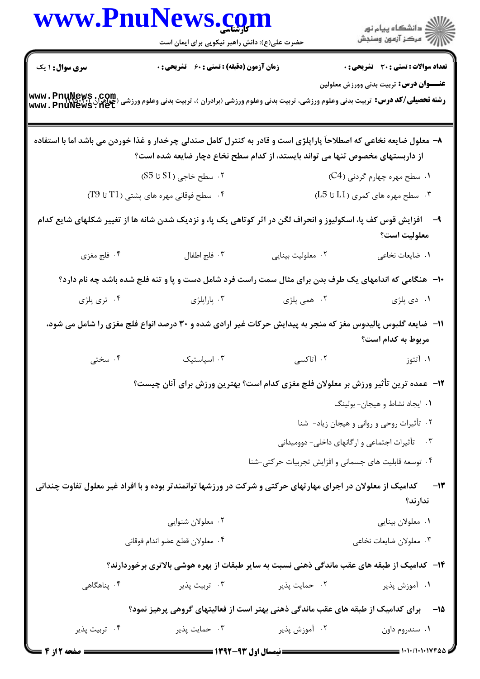|                        | www.PnuNews.com                                                                                                                                                                                     |                                                       |                                                 |
|------------------------|-----------------------------------------------------------------------------------------------------------------------------------------------------------------------------------------------------|-------------------------------------------------------|-------------------------------------------------|
|                        | حضرت علی(ع): دانش راهبر نیکویی برای ایمان است                                                                                                                                                       |                                                       |                                                 |
| <b>سری سوال : ۱ یک</b> | زمان آزمون (دقیقه) : تستی : 60 گشریحی : 0                                                                                                                                                           |                                                       | <b>تعداد سوالات : تستی : 30 - تشریحی : 0</b>    |
|                        | <b>رشته تحصیلی/کد درس:</b> تربیت بدنی وعلوم ورزشی، تربیت بدنی وعلوم ورزشی (برادران )، تربیت بدنی وعلوم ورزشی (جواهران )<br>Www . PnuNews . Net                                                      |                                                       | <b>عنـــوان درس:</b> تربیت بدنی وورزش معلولین   |
|                        | ۸– معلول ضایعه نخاعی که اصطلاحاً پاراپلژی است و قادر به کنترل کامل صندلی چرخدار و غذا خوردن می باشد اما با استفاده<br>از داربستهای مخصوص تنها می تواند بایستد، از کدام سطح نخاع دچار ضایعه شده است؟ |                                                       |                                                 |
|                        | ۰۲ سطح خاجی (S1 تا S5)                                                                                                                                                                              |                                                       | ۰۱ سطح مهره چهارم گردنی (C4)                    |
|                        | $(T9$ سطح فوقانی مهره های پشتی (1 $T1$ تا $^6$                                                                                                                                                      |                                                       | $(L5 L1)$ سطح مهره های کمری (L5 تا $L1$         |
|                        | ۹- دافزایش قوس کف پا، اسکولیوز و انحراف لگن در اثر کوتاهی یک پا، و نزدیک شدن شانه ها از تغییر شکلهای شایع کدام                                                                                      |                                                       | معلوليت است؟                                    |
| ۴. فلج مغزی            | ۰۳ فلج اطفال                                                                                                                                                                                        | ۰۲ معلولیت بینایی                                     | ٠١ ضايعات نخاعي                                 |
|                        | ∙۱-۔ هنگامی که اندامهای یک طرف بدن برای مثال سمت راست فرد شامل دست و پا و تنه فلج شده باشد چه نام دارد؟                                                                                             |                                                       |                                                 |
| ۰۴ تری پلژی            | ۰۳ پاراپلژی                                                                                                                                                                                         | ۰۲ همی پلژی                                           | ۰۱ دی پلژی                                      |
|                        | ۱۱– ضایعه گلبوس پالیدوس مغز که منجر به پیدایش حرکات غیر ارادی شده و ۳۰ درصد انواع فلج مغزی را شامل می شود،                                                                                          |                                                       | مربوط به کدام است؟                              |
| ۰۴ سختی                | ۰۳ اسپاستیک                                                                                                                                                                                         | ۲. آتاکسی                                             | ۰۱ آتتوز                                        |
|                        | <b>۱۲</b> - عمده ترین تأثیر ورزش بر معلولان فلج مغزی کدام است؟ بهترین ورزش برای آنان چیست؟                                                                                                          |                                                       |                                                 |
|                        |                                                                                                                                                                                                     |                                                       | ٠١ ايجاد نشاط و هيجان- بولينگ                   |
|                        |                                                                                                                                                                                                     |                                                       | ۰۲ تأثیرات روحی و روانی و هیجان زیاد- شنا       |
|                        |                                                                                                                                                                                                     |                                                       | ۰۳ قأ تیرات اجتماعی و ارگانهای داخلی- دوومیدانی |
|                        |                                                                                                                                                                                                     | ۰۴ توسعه قابلیت های جسمانی و افزایش تجربیات حرکتی-شنا |                                                 |
|                        | کدامیک از معلولان در اجرای مهارتهای حرکتی و شرکت در ورزشها توانمندتر بوده و با افراد غیر معلول تفاوت چندانی                                                                                         |                                                       | $-11$<br>ندارند؟                                |
|                        | ۰۲ معلولان شنوایی                                                                                                                                                                                   |                                                       | ٠١ معلولان بينايي                               |
|                        | ۰۴ معلولان قطع عضو اندام فوقاني                                                                                                                                                                     |                                                       | ۰۳ معلولان ضايعات نخاعي                         |
|                        | <b>۱۴</b> - کدامیک از طبقه های عقب ماندگی ذهنی نسبت به سایر طبقات از بهره هوشی بالاتری برخوردارند؟                                                                                                  |                                                       |                                                 |
| ۰۴ پناهگاه <i>ی</i>    | ۰۳ تربیت پذیر                                                                                                                                                                                       | ۰۲ حمایت پذیر                                         | ۰۱ آموزش پذیر                                   |
|                        | ۱۵−     برای کدامیک از طبقه های عقب ماندگی ذهنی بهتر است از فعالیتهای گروهی پرهیز نمود؟                                                                                                             |                                                       |                                                 |
| ۰۴ تربیت پذیر          | ۰۳ حمايت پذير                                                                                                                                                                                       | ۰۲ آموزش پذیر                                         | ۰۱ سندروم داون                                  |
| <b>: صفحه 12:</b>      |                                                                                                                                                                                                     |                                                       | : ۱۰۱۰/۱۰۱۰۱۷۴۵/                                |

= صفحه 2 از 4 =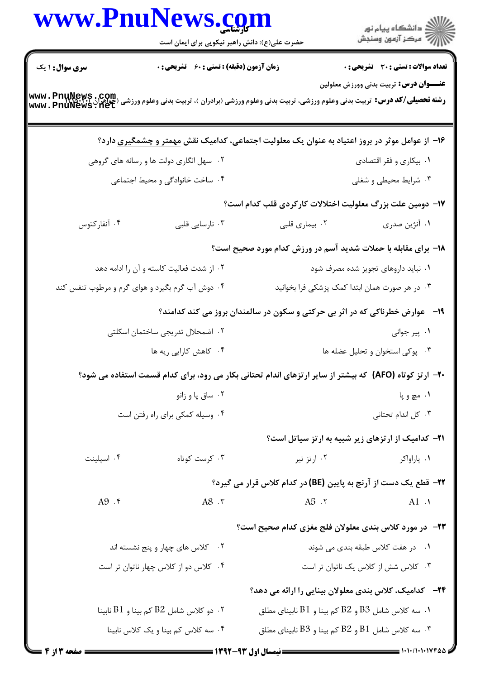|                        | www.PnuNews.com<br>حضرت علی(ع): دانش راهبر نیکویی برای ایمان است                                                                               |                                        |                                                                              |
|------------------------|------------------------------------------------------------------------------------------------------------------------------------------------|----------------------------------------|------------------------------------------------------------------------------|
| <b>سری سوال :</b> ۱ یک | <b>زمان آزمون (دقیقه) : تستی : 60 ٪ تشریحی : 0</b>                                                                                             |                                        | <b>تعداد سوالات : تستی : 30 - تشریحی : 0</b>                                 |
|                        | <b>رشته تحصیلی/کد درس:</b> تربیت بدنی وعلوم ورزشی، تربیت بدنی وعلوم ورزشی (برادران )، تربیت بدنی وعلوم ورزشی (جواهران )<br>Www . PnuNews . Net |                                        | <b>عنـــوان درس:</b> تربیت بدنی وورزش معلولین                                |
|                        | ۱۶– از عوامل موثر در بروز اعتیاد به عنوان یک معلولیت اجتماعی، کدامیک نقش مهمتر و چشمگیری دارد؟                                                 |                                        |                                                                              |
|                        | ۰۲ سهل انگاری دولت ها و رسانه های گروهی                                                                                                        |                                        | ۰۱ بیکاری و فقر اقتصادی                                                      |
|                        | ۰۴ ساخت خانوادگی و محیط اجتماعی                                                                                                                |                                        | ۰۳ شرایط محیطی و شغلی                                                        |
|                        |                                                                                                                                                |                                        | ۱۷– دومین علت بزرگ معلولیت اختلالات کارکردی قلب کدام است؟                    |
| ۰۴ آنفارکتوس           | ۰۳ نارسایی قلبی                                                                                                                                | ۰۲ بیماری قلبی                         | ۰۱ آنژین صدری                                                                |
|                        |                                                                                                                                                |                                        | ۱۸- برای مقابله با حملات شدید آسم در ورزش کدام مورد صحیح است؟                |
|                        | ۰۲ از شدت فعالیت کاسته و آن را ادامه دهد                                                                                                       |                                        | ۰۱ نباید داروهای تجویز شده مصرف شود                                          |
|                        | ۰۴ دوش آب گرم بگیرد و هوای گرم و مرطوب تنفس کند                                                                                                |                                        | ۰۳ در هر صورت همان ابتدا کمک پزشکی فرا بخوانید                               |
|                        |                                                                                                                                                |                                        | ۱۹-۔ عوارض خطرناکی که در اثر بی حرکتی و سکون در سالمندان بروز می کند کدامند؟ |
|                        | ۰۲ اضمحلال تدریجی ساختمان اسکلتی                                                                                                               |                                        | ۰۱ پیر جوانی                                                                 |
|                        | ۰۴ کاهش کارایی ریه ها                                                                                                                          |                                        | ۰۳ پوکی استخوان و تحلیل عضله ها                                              |
|                        | <b>+۲-</b> ارتز کوتاه (AFO) که بیشتر از سایر ارتزهای اندام تحتانی بکار می رود، برای کدام قسمت استفاده می شود؟                                  |                                        |                                                                              |
|                        | ۰۲ ساق پا و زانو                                                                                                                               |                                        | ۱. مچ و پا                                                                   |
|                        | ۰۴ وسیله کمکی برای راه رفتن است                                                                                                                |                                        | ۰۳ کل اندام تحتانی                                                           |
|                        |                                                                                                                                                |                                        | <b>۲۱</b> - کدامیک از ارتزهای زیر شبیه به ارتز سیاتل است؟                    |
| ۰۴ اسیلینت             | ۰۳ کرست کوتاه                                                                                                                                  | ۰۲ ارتز تیر                            | ۰۱ پاراواکر                                                                  |
|                        |                                                                                                                                                |                                        | 7۲- قطع یک دست از آرنج به پایین (BE) در کدام کلاس قرار می گیرد؟              |
| A9.5                   | A8.7                                                                                                                                           | A5.7                                   | A1.                                                                          |
|                        |                                                                                                                                                |                                        | <b>۲۳</b> - در مورد کلاس بندی معلولان فلج مغزی کدام صحیح است؟                |
|                        | ۰۲ کلاس های چهار و پنج نشسته اند                                                                                                               |                                        | ۰۱ در هفت کلاس طبقه بندی می شوند                                             |
|                        | ۰۴ کلاس دو از کلاس چهار ناتوان تر است                                                                                                          |                                        | ۰۳ کلاس شش از کلاس یک ناتوان تر است                                          |
|                        |                                                                                                                                                |                                        | ۲۴− کدامیک، کلاس بندی معلولان بینایی را ارائه می دهد؟                        |
|                        | ۰۲ دو کلاس شامل B2 کم بینا و $1$ E نابینا $\cdot$                                                                                              |                                        | د. سه کلاس شامل B3 و B2 کم بینا و B1 نابینای مطلق $\,$                       |
|                        | ۰۴ سه کلاس کم بینا و یک کلاس نابینا                                                                                                            |                                        | سه کلاس شامل $\rm B1$ و $\rm B2$ کم بینا و $\rm B3$ نابینای مطلق $\cdot$     |
| <b>6 صفحه 3 از 4</b>   |                                                                                                                                                | <b>ـــــ نیمسال اول ۹۳-۱۳۹۲ ــــــ</b> | = 1+1+/1+1+17445                                                             |